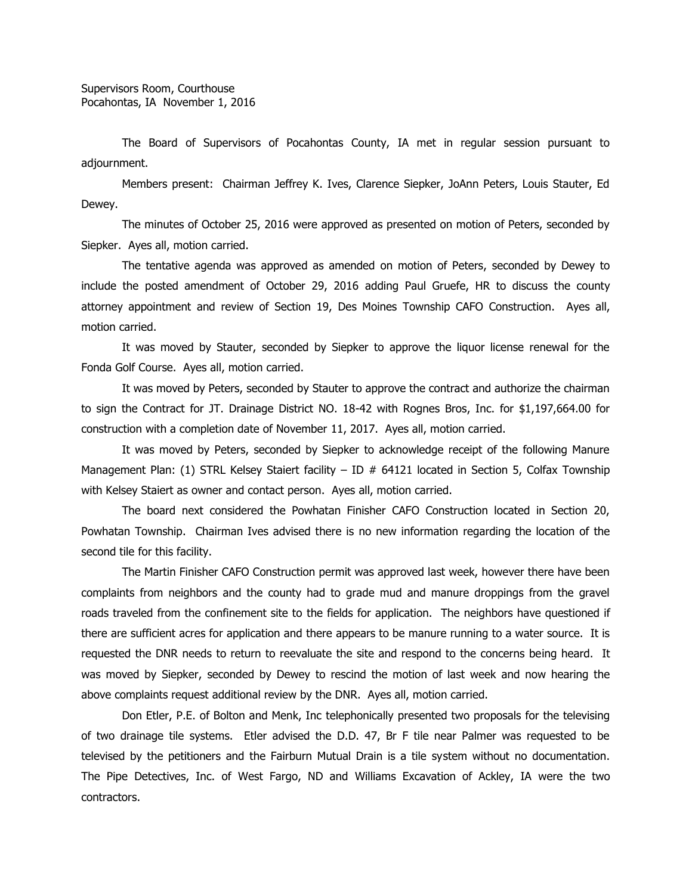The Board of Supervisors of Pocahontas County, IA met in regular session pursuant to adjournment.

Members present: Chairman Jeffrey K. Ives, Clarence Siepker, JoAnn Peters, Louis Stauter, Ed Dewey.

The minutes of October 25, 2016 were approved as presented on motion of Peters, seconded by Siepker. Ayes all, motion carried.

The tentative agenda was approved as amended on motion of Peters, seconded by Dewey to include the posted amendment of October 29, 2016 adding Paul Gruefe, HR to discuss the county attorney appointment and review of Section 19, Des Moines Township CAFO Construction. Ayes all, motion carried.

It was moved by Stauter, seconded by Siepker to approve the liquor license renewal for the Fonda Golf Course. Ayes all, motion carried.

It was moved by Peters, seconded by Stauter to approve the contract and authorize the chairman to sign the Contract for JT. Drainage District NO. 18-42 with Rognes Bros, Inc. for \$1,197,664.00 for construction with a completion date of November 11, 2017. Ayes all, motion carried.

It was moved by Peters, seconded by Siepker to acknowledge receipt of the following Manure Management Plan: (1) STRL Kelsey Staiert facility – ID  $#$  64121 located in Section 5, Colfax Township with Kelsey Staiert as owner and contact person. Ayes all, motion carried.

The board next considered the Powhatan Finisher CAFO Construction located in Section 20, Powhatan Township. Chairman Ives advised there is no new information regarding the location of the second tile for this facility.

The Martin Finisher CAFO Construction permit was approved last week, however there have been complaints from neighbors and the county had to grade mud and manure droppings from the gravel roads traveled from the confinement site to the fields for application. The neighbors have questioned if there are sufficient acres for application and there appears to be manure running to a water source. It is requested the DNR needs to return to reevaluate the site and respond to the concerns being heard. It was moved by Siepker, seconded by Dewey to rescind the motion of last week and now hearing the above complaints request additional review by the DNR. Ayes all, motion carried.

Don Etler, P.E. of Bolton and Menk, Inc telephonically presented two proposals for the televising of two drainage tile systems. Etler advised the D.D. 47, Br F tile near Palmer was requested to be televised by the petitioners and the Fairburn Mutual Drain is a tile system without no documentation. The Pipe Detectives, Inc. of West Fargo, ND and Williams Excavation of Ackley, IA were the two contractors.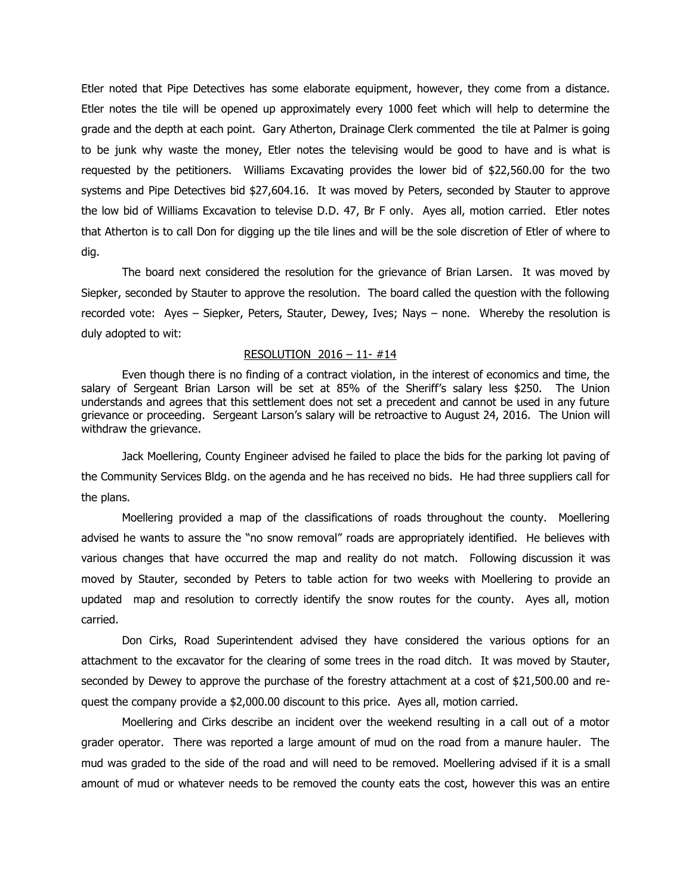Etler noted that Pipe Detectives has some elaborate equipment, however, they come from a distance. Etler notes the tile will be opened up approximately every 1000 feet which will help to determine the grade and the depth at each point. Gary Atherton, Drainage Clerk commented the tile at Palmer is going to be junk why waste the money, Etler notes the televising would be good to have and is what is requested by the petitioners. Williams Excavating provides the lower bid of \$22,560.00 for the two systems and Pipe Detectives bid \$27,604.16. It was moved by Peters, seconded by Stauter to approve the low bid of Williams Excavation to televise D.D. 47, Br F only. Ayes all, motion carried. Etler notes that Atherton is to call Don for digging up the tile lines and will be the sole discretion of Etler of where to dig.

The board next considered the resolution for the grievance of Brian Larsen. It was moved by Siepker, seconded by Stauter to approve the resolution. The board called the question with the following recorded vote: Ayes – Siepker, Peters, Stauter, Dewey, Ives; Nays – none. Whereby the resolution is duly adopted to wit:

## RESOLUTION 2016 – 11- #14

Even though there is no finding of a contract violation, in the interest of economics and time, the salary of Sergeant Brian Larson will be set at 85% of the Sheriff's salary less \$250. The Union understands and agrees that this settlement does not set a precedent and cannot be used in any future grievance or proceeding. Sergeant Larson's salary will be retroactive to August 24, 2016. The Union will withdraw the grievance.

Jack Moellering, County Engineer advised he failed to place the bids for the parking lot paving of the Community Services Bldg. on the agenda and he has received no bids. He had three suppliers call for the plans.

Moellering provided a map of the classifications of roads throughout the county. Moellering advised he wants to assure the "no snow removal" roads are appropriately identified. He believes with various changes that have occurred the map and reality do not match. Following discussion it was moved by Stauter, seconded by Peters to table action for two weeks with Moellering to provide an updated map and resolution to correctly identify the snow routes for the county. Ayes all, motion carried.

Don Cirks, Road Superintendent advised they have considered the various options for an attachment to the excavator for the clearing of some trees in the road ditch. It was moved by Stauter, seconded by Dewey to approve the purchase of the forestry attachment at a cost of \$21,500.00 and request the company provide a \$2,000.00 discount to this price. Ayes all, motion carried.

Moellering and Cirks describe an incident over the weekend resulting in a call out of a motor grader operator. There was reported a large amount of mud on the road from a manure hauler. The mud was graded to the side of the road and will need to be removed. Moellering advised if it is a small amount of mud or whatever needs to be removed the county eats the cost, however this was an entire